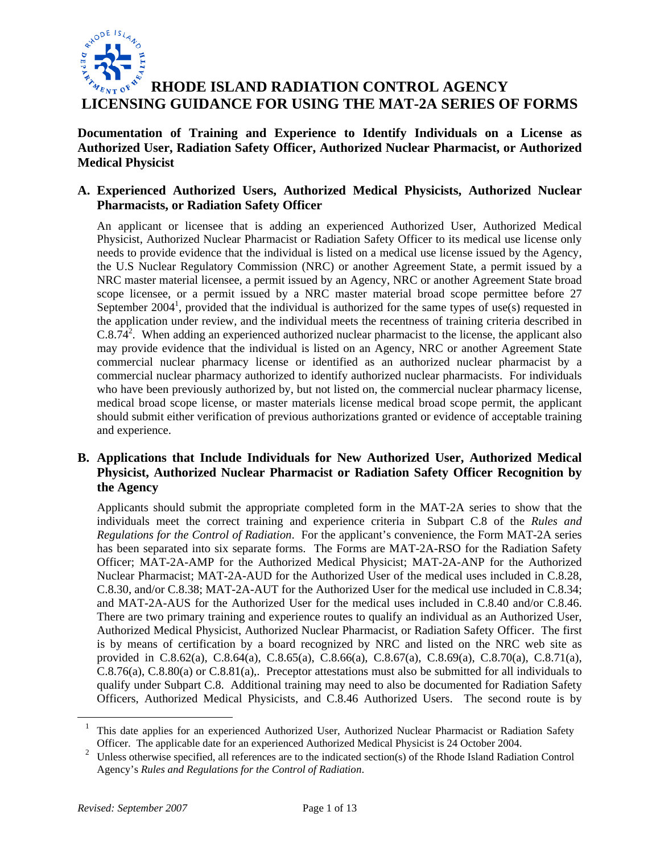

# **RHODE ISLAND RADIATION CONTROL AGENCY LICENSING GUIDANCE FOR USING THE MAT-2A SERIES OF FORMS**

**Documentation of Training and Experience to Identify Individuals on a License as Authorized User, Radiation Safety Officer, Authorized Nuclear Pharmacist, or Authorized Medical Physicist** 

## **A. Experienced Authorized Users, Authorized Medical Physicists, Authorized Nuclear Pharmacists, or Radiation Safety Officer**

An applicant or licensee that is adding an experienced Authorized User, Authorized Medical Physicist, Authorized Nuclear Pharmacist or Radiation Safety Officer to its medical use license only needs to provide evidence that the individual is listed on a medical use license issued by the Agency, the U.S Nuclear Regulatory Commission (NRC) or another Agreement State, a permit issued by a NRC master material licensee, a permit issued by an Agency, NRC or another Agreement State broad scope licensee, or a permit issued by a NRC master material broad scope permittee before 27 September 2004<sup>1</sup>, provided that the individual is authorized for the same types of use(s) requested in the application under review, and the individual meets the recentness of training criteria described in  $C.8.\overline{74}^2$ . When adding an experienced authorized nuclear pharmacist to the license, the applicant also may provide evidence that the individual is listed on an Agency, NRC or another Agreement State commercial nuclear pharmacy license or identified as an authorized nuclear pharmacist by a commercial nuclear pharmacy authorized to identify authorized nuclear pharmacists. For individuals who have been previously authorized by, but not listed on, the commercial nuclear pharmacy license, medical broad scope license, or master materials license medical broad scope permit, the applicant should submit either verification of previous authorizations granted or evidence of acceptable training and experience.

## **B. Applications that Include Individuals for New Authorized User, Authorized Medical Physicist, Authorized Nuclear Pharmacist or Radiation Safety Officer Recognition by the Agency**

Applicants should submit the appropriate completed form in the MAT-2A series to show that the individuals meet the correct training and experience criteria in Subpart C.8 of the *Rules and Regulations for the Control of Radiation*. For the applicant's convenience, the Form MAT-2A series has been separated into six separate forms. The Forms are MAT-2A-RSO for the Radiation Safety Officer; MAT-2A-AMP for the Authorized Medical Physicist; MAT-2A-ANP for the Authorized Nuclear Pharmacist; MAT-2A-AUD for the Authorized User of the medical uses included in C.8.28, C.8.30, and/or C.8.38; MAT-2A-AUT for the Authorized User for the medical use included in C.8.34; and MAT-2A-AUS for the Authorized User for the medical uses included in C.8.40 and/or C.8.46. There are two primary training and experience routes to qualify an individual as an Authorized User, Authorized Medical Physicist, Authorized Nuclear Pharmacist, or Radiation Safety Officer. The first is by means of certification by a board recognized by NRC and listed on the NRC web site as provided in C.8.62(a), C.8.64(a), C.8.65(a), C.8.66(a), C.8.67(a), C.8.69(a), C.8.70(a), C.8.71(a), C.8.76(a), C.8.80(a) or C.8.81(a),. Preceptor attestations must also be submitted for all individuals to qualify under Subpart C.8. Additional training may need to also be documented for Radiation Safety Officers, Authorized Medical Physicists, and C.8.46 Authorized Users. The second route is by

 $\overline{a}$ 

<sup>1</sup> This date applies for an experienced Authorized User, Authorized Nuclear Pharmacist or Radiation Safety Officer. The applicable date for an experienced Authorized Medical Physicist is 24 October 2004.

<sup>&</sup>lt;sup>2</sup> Unless otherwise specified, all references are to the indicated section(s) of the Rhode Island Radiation Control Agency's *Rules and Regulations for the Control of Radiation*.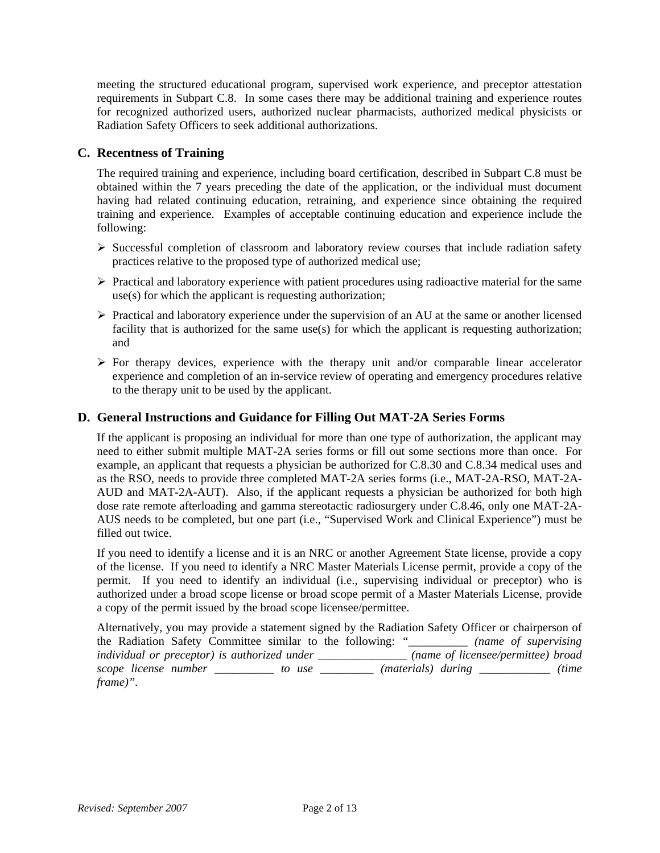meeting the structured educational program, supervised work experience, and preceptor attestation requirements in Subpart C.8. In some cases there may be additional training and experience routes for recognized authorized users, authorized nuclear pharmacists, authorized medical physicists or Radiation Safety Officers to seek additional authorizations.

## **C. Recentness of Training**

The required training and experience, including board certification, described in Subpart C.8 must be obtained within the 7 years preceding the date of the application, or the individual must document having had related continuing education, retraining, and experience since obtaining the required training and experience. Examples of acceptable continuing education and experience include the following:

- ¾ Successful completion of classroom and laboratory review courses that include radiation safety practices relative to the proposed type of authorized medical use;
- $\triangleright$  Practical and laboratory experience with patient procedures using radioactive material for the same use(s) for which the applicant is requesting authorization;
- $\triangleright$  Practical and laboratory experience under the supervision of an AU at the same or another licensed facility that is authorized for the same use(s) for which the applicant is requesting authorization; and
- $\triangleright$  For therapy devices, experience with the therapy unit and/or comparable linear accelerator experience and completion of an in-service review of operating and emergency procedures relative to the therapy unit to be used by the applicant.

## **D. General Instructions and Guidance for Filling Out MAT-2A Series Forms**

If the applicant is proposing an individual for more than one type of authorization, the applicant may need to either submit multiple MAT-2A series forms or fill out some sections more than once. For example, an applicant that requests a physician be authorized for C.8.30 and C.8.34 medical uses and as the RSO, needs to provide three completed MAT-2A series forms (i.e., MAT-2A-RSO, MAT-2A-AUD and MAT-2A-AUT). Also, if the applicant requests a physician be authorized for both high dose rate remote afterloading and gamma stereotactic radiosurgery under C.8.46, only one MAT-2A-AUS needs to be completed, but one part (i.e., "Supervised Work and Clinical Experience") must be filled out twice.

If you need to identify a license and it is an NRC or another Agreement State license, provide a copy of the license. If you need to identify a NRC Master Materials License permit, provide a copy of the permit. If you need to identify an individual (i.e., supervising individual or preceptor) who is authorized under a broad scope license or broad scope permit of a Master Materials License, provide a copy of the permit issued by the broad scope licensee/permittee.

Alternatively, you may provide a statement signed by the Radiation Safety Officer or chairperson of the Radiation Safety Committee similar to the following: *"\_\_\_\_\_\_\_\_\_\_ (name of supervising individual or preceptor) is authorized under \_\_\_\_\_\_\_\_\_\_\_\_\_\_\_ (name of licensee/permittee) broad scope license number \_\_\_\_\_\_\_\_\_\_ to use \_\_\_\_\_\_\_\_\_ (materials) during \_\_\_\_\_\_\_\_\_\_\_\_ (time frame)".*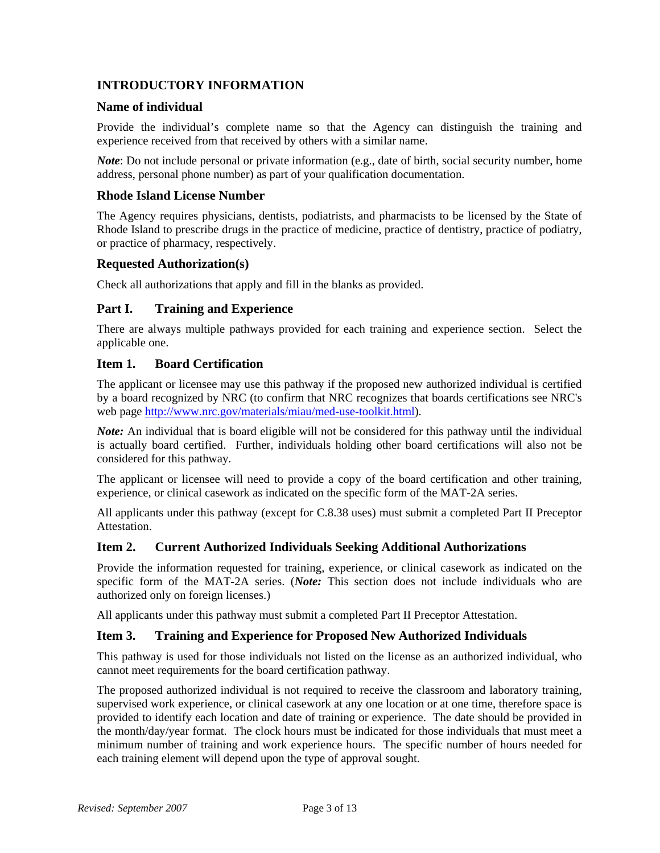## **INTRODUCTORY INFORMATION**

### **Name of individual**

Provide the individual's complete name so that the Agency can distinguish the training and experience received from that received by others with a similar name.

*Note*: Do not include personal or private information (e.g., date of birth, social security number, home address, personal phone number) as part of your qualification documentation.

#### **Rhode Island License Number**

The Agency requires physicians, dentists, podiatrists, and pharmacists to be licensed by the State of Rhode Island to prescribe drugs in the practice of medicine, practice of dentistry, practice of podiatry, or practice of pharmacy, respectively.

#### **Requested Authorization(s)**

Check all authorizations that apply and fill in the blanks as provided.

## **Part I. Training and Experience**

There are always multiple pathways provided for each training and experience section. Select the applicable one.

#### **Item 1. Board Certification**

The applicant or licensee may use this pathway if the proposed new authorized individual is certified by a board recognized by NRC (to confirm that NRC recognizes that boards certifications see NRC's web page http://www.nrc.gov/materials/miau/med-use-toolkit.html).

*Note:* An individual that is board eligible will not be considered for this pathway until the individual is actually board certified. Further, individuals holding other board certifications will also not be considered for this pathway.

The applicant or licensee will need to provide a copy of the board certification and other training, experience, or clinical casework as indicated on the specific form of the MAT-2A series.

All applicants under this pathway (except for C.8.38 uses) must submit a completed Part II Preceptor Attestation.

#### **Item 2. Current Authorized Individuals Seeking Additional Authorizations**

Provide the information requested for training, experience, or clinical casework as indicated on the specific form of the MAT-2A series. (*Note:* This section does not include individuals who are authorized only on foreign licenses.)

All applicants under this pathway must submit a completed Part II Preceptor Attestation.

#### **Item 3. Training and Experience for Proposed New Authorized Individuals**

This pathway is used for those individuals not listed on the license as an authorized individual, who cannot meet requirements for the board certification pathway.

The proposed authorized individual is not required to receive the classroom and laboratory training, supervised work experience, or clinical casework at any one location or at one time, therefore space is provided to identify each location and date of training or experience. The date should be provided in the month/day/year format. The clock hours must be indicated for those individuals that must meet a minimum number of training and work experience hours. The specific number of hours needed for each training element will depend upon the type of approval sought.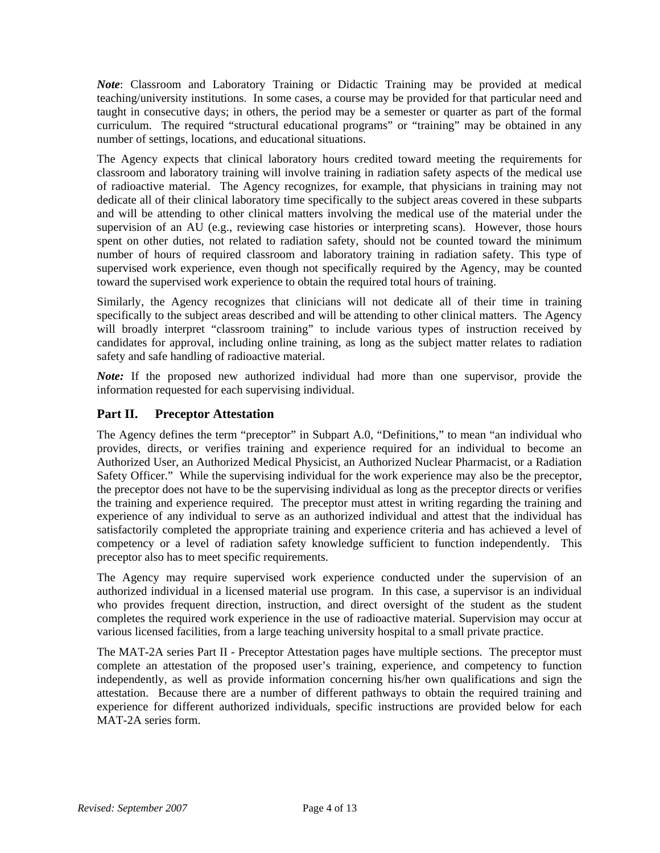*Note*: Classroom and Laboratory Training or Didactic Training may be provided at medical teaching/university institutions. In some cases, a course may be provided for that particular need and taught in consecutive days; in others, the period may be a semester or quarter as part of the formal curriculum. The required "structural educational programs" or "training" may be obtained in any number of settings, locations, and educational situations.

The Agency expects that clinical laboratory hours credited toward meeting the requirements for classroom and laboratory training will involve training in radiation safety aspects of the medical use of radioactive material. The Agency recognizes, for example, that physicians in training may not dedicate all of their clinical laboratory time specifically to the subject areas covered in these subparts and will be attending to other clinical matters involving the medical use of the material under the supervision of an AU (e.g., reviewing case histories or interpreting scans). However, those hours spent on other duties, not related to radiation safety, should not be counted toward the minimum number of hours of required classroom and laboratory training in radiation safety. This type of supervised work experience, even though not specifically required by the Agency, may be counted toward the supervised work experience to obtain the required total hours of training.

Similarly, the Agency recognizes that clinicians will not dedicate all of their time in training specifically to the subject areas described and will be attending to other clinical matters. The Agency will broadly interpret "classroom training" to include various types of instruction received by candidates for approval, including online training, as long as the subject matter relates to radiation safety and safe handling of radioactive material.

*Note:* If the proposed new authorized individual had more than one supervisor, provide the information requested for each supervising individual.

## **Part II. Preceptor Attestation**

The Agency defines the term "preceptor" in Subpart A.0, "Definitions," to mean "an individual who provides, directs, or verifies training and experience required for an individual to become an Authorized User, an Authorized Medical Physicist, an Authorized Nuclear Pharmacist, or a Radiation Safety Officer." While the supervising individual for the work experience may also be the preceptor, the preceptor does not have to be the supervising individual as long as the preceptor directs or verifies the training and experience required. The preceptor must attest in writing regarding the training and experience of any individual to serve as an authorized individual and attest that the individual has satisfactorily completed the appropriate training and experience criteria and has achieved a level of competency or a level of radiation safety knowledge sufficient to function independently. This preceptor also has to meet specific requirements.

The Agency may require supervised work experience conducted under the supervision of an authorized individual in a licensed material use program. In this case, a supervisor is an individual who provides frequent direction, instruction, and direct oversight of the student as the student completes the required work experience in the use of radioactive material. Supervision may occur at various licensed facilities, from a large teaching university hospital to a small private practice.

The MAT-2A series Part II - Preceptor Attestation pages have multiple sections. The preceptor must complete an attestation of the proposed user's training, experience, and competency to function independently, as well as provide information concerning his/her own qualifications and sign the attestation. Because there are a number of different pathways to obtain the required training and experience for different authorized individuals, specific instructions are provided below for each MAT-2A series form.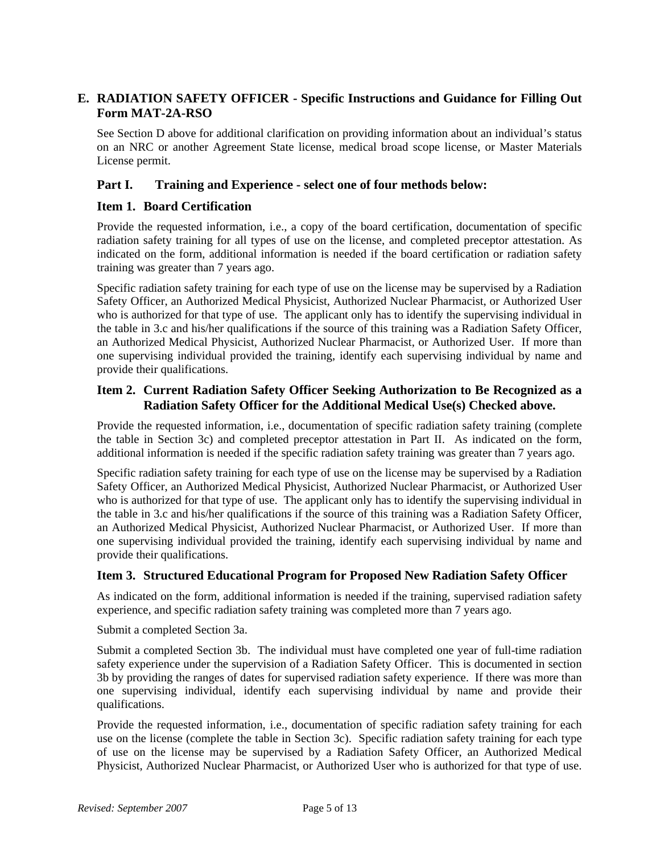## **E. RADIATION SAFETY OFFICER - Specific Instructions and Guidance for Filling Out Form MAT-2A-RSO**

See Section D above for additional clarification on providing information about an individual's status on an NRC or another Agreement State license, medical broad scope license, or Master Materials License permit.

### **Part I. Training and Experience - select one of four methods below:**

#### **Item 1. Board Certification**

Provide the requested information, i.e., a copy of the board certification, documentation of specific radiation safety training for all types of use on the license, and completed preceptor attestation. As indicated on the form, additional information is needed if the board certification or radiation safety training was greater than 7 years ago.

Specific radiation safety training for each type of use on the license may be supervised by a Radiation Safety Officer, an Authorized Medical Physicist, Authorized Nuclear Pharmacist, or Authorized User who is authorized for that type of use. The applicant only has to identify the supervising individual in the table in 3.c and his/her qualifications if the source of this training was a Radiation Safety Officer, an Authorized Medical Physicist, Authorized Nuclear Pharmacist, or Authorized User. If more than one supervising individual provided the training, identify each supervising individual by name and provide their qualifications.

### **Item 2. Current Radiation Safety Officer Seeking Authorization to Be Recognized as a Radiation Safety Officer for the Additional Medical Use(s) Checked above.**

Provide the requested information, i.e., documentation of specific radiation safety training (complete the table in Section 3c) and completed preceptor attestation in Part II. As indicated on the form, additional information is needed if the specific radiation safety training was greater than 7 years ago.

Specific radiation safety training for each type of use on the license may be supervised by a Radiation Safety Officer, an Authorized Medical Physicist, Authorized Nuclear Pharmacist, or Authorized User who is authorized for that type of use. The applicant only has to identify the supervising individual in the table in 3.c and his/her qualifications if the source of this training was a Radiation Safety Officer, an Authorized Medical Physicist, Authorized Nuclear Pharmacist, or Authorized User. If more than one supervising individual provided the training, identify each supervising individual by name and provide their qualifications.

## **Item 3. Structured Educational Program for Proposed New Radiation Safety Officer**

As indicated on the form, additional information is needed if the training, supervised radiation safety experience, and specific radiation safety training was completed more than 7 years ago.

Submit a completed Section 3a.

Submit a completed Section 3b. The individual must have completed one year of full-time radiation safety experience under the supervision of a Radiation Safety Officer. This is documented in section 3b by providing the ranges of dates for supervised radiation safety experience. If there was more than one supervising individual, identify each supervising individual by name and provide their qualifications.

Provide the requested information, i.e., documentation of specific radiation safety training for each use on the license (complete the table in Section 3c). Specific radiation safety training for each type of use on the license may be supervised by a Radiation Safety Officer, an Authorized Medical Physicist, Authorized Nuclear Pharmacist, or Authorized User who is authorized for that type of use.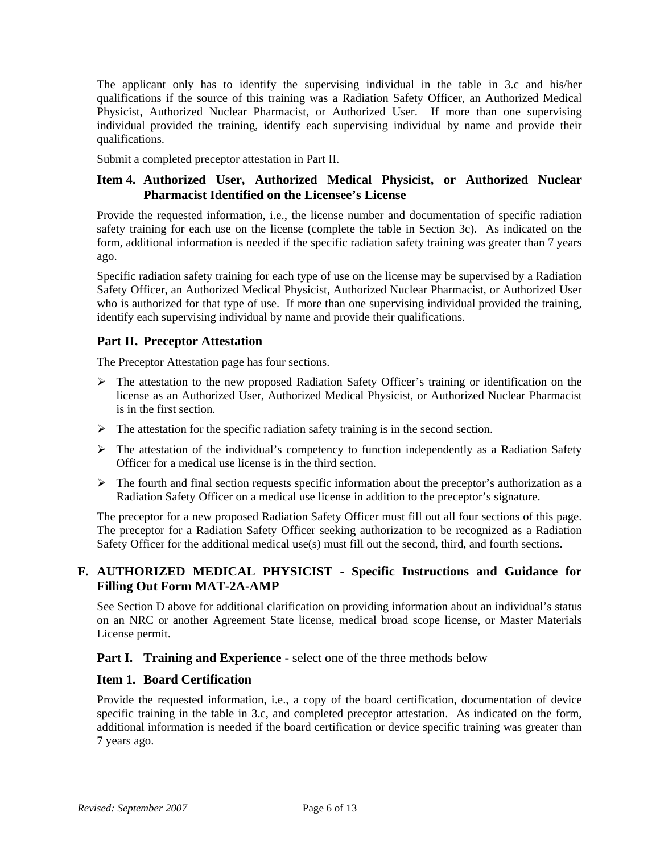The applicant only has to identify the supervising individual in the table in 3.c and his/her qualifications if the source of this training was a Radiation Safety Officer, an Authorized Medical Physicist, Authorized Nuclear Pharmacist, or Authorized User. If more than one supervising individual provided the training, identify each supervising individual by name and provide their qualifications.

Submit a completed preceptor attestation in Part II.

## **Item 4. Authorized User, Authorized Medical Physicist, or Authorized Nuclear Pharmacist Identified on the Licensee's License**

Provide the requested information, i.e., the license number and documentation of specific radiation safety training for each use on the license (complete the table in Section 3c). As indicated on the form, additional information is needed if the specific radiation safety training was greater than 7 years ago.

Specific radiation safety training for each type of use on the license may be supervised by a Radiation Safety Officer, an Authorized Medical Physicist, Authorized Nuclear Pharmacist, or Authorized User who is authorized for that type of use. If more than one supervising individual provided the training, identify each supervising individual by name and provide their qualifications.

## **Part II. Preceptor Attestation**

The Preceptor Attestation page has four sections.

- $\triangleright$  The attestation to the new proposed Radiation Safety Officer's training or identification on the license as an Authorized User, Authorized Medical Physicist, or Authorized Nuclear Pharmacist is in the first section.
- $\triangleright$  The attestation for the specific radiation safety training is in the second section.
- $\triangleright$  The attestation of the individual's competency to function independently as a Radiation Safety Officer for a medical use license is in the third section.
- $\triangleright$  The fourth and final section requests specific information about the preceptor's authorization as a Radiation Safety Officer on a medical use license in addition to the preceptor's signature.

The preceptor for a new proposed Radiation Safety Officer must fill out all four sections of this page. The preceptor for a Radiation Safety Officer seeking authorization to be recognized as a Radiation Safety Officer for the additional medical use(s) must fill out the second, third, and fourth sections.

## **F. AUTHORIZED MEDICAL PHYSICIST - Specific Instructions and Guidance for Filling Out Form MAT-2A-AMP**

See Section D above for additional clarification on providing information about an individual's status on an NRC or another Agreement State license, medical broad scope license, or Master Materials License permit.

**Part I. Training and Experience -** select one of the three methods below

## **Item 1. Board Certification**

Provide the requested information, i.e., a copy of the board certification, documentation of device specific training in the table in 3.c, and completed preceptor attestation. As indicated on the form, additional information is needed if the board certification or device specific training was greater than 7 years ago.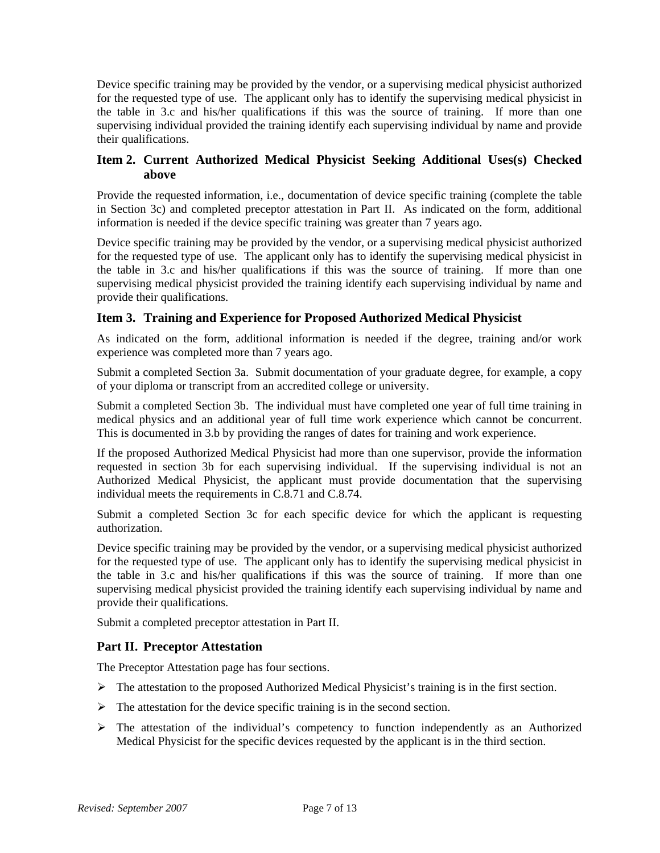Device specific training may be provided by the vendor, or a supervising medical physicist authorized for the requested type of use. The applicant only has to identify the supervising medical physicist in the table in 3.c and his/her qualifications if this was the source of training. If more than one supervising individual provided the training identify each supervising individual by name and provide their qualifications.

## **Item 2. Current Authorized Medical Physicist Seeking Additional Uses(s) Checked above**

Provide the requested information, i.e., documentation of device specific training (complete the table in Section 3c) and completed preceptor attestation in Part II. As indicated on the form, additional information is needed if the device specific training was greater than 7 years ago.

Device specific training may be provided by the vendor, or a supervising medical physicist authorized for the requested type of use. The applicant only has to identify the supervising medical physicist in the table in 3.c and his/her qualifications if this was the source of training. If more than one supervising medical physicist provided the training identify each supervising individual by name and provide their qualifications.

## **Item 3. Training and Experience for Proposed Authorized Medical Physicist**

As indicated on the form, additional information is needed if the degree, training and/or work experience was completed more than 7 years ago.

Submit a completed Section 3a. Submit documentation of your graduate degree, for example, a copy of your diploma or transcript from an accredited college or university.

Submit a completed Section 3b. The individual must have completed one year of full time training in medical physics and an additional year of full time work experience which cannot be concurrent. This is documented in 3.b by providing the ranges of dates for training and work experience.

If the proposed Authorized Medical Physicist had more than one supervisor, provide the information requested in section 3b for each supervising individual. If the supervising individual is not an Authorized Medical Physicist, the applicant must provide documentation that the supervising individual meets the requirements in C.8.71 and C.8.74.

Submit a completed Section 3c for each specific device for which the applicant is requesting authorization.

Device specific training may be provided by the vendor, or a supervising medical physicist authorized for the requested type of use. The applicant only has to identify the supervising medical physicist in the table in 3.c and his/her qualifications if this was the source of training. If more than one supervising medical physicist provided the training identify each supervising individual by name and provide their qualifications.

Submit a completed preceptor attestation in Part II.

## **Part II. Preceptor Attestation**

The Preceptor Attestation page has four sections.

- $\triangleright$  The attestation to the proposed Authorized Medical Physicist's training is in the first section.
- $\triangleright$  The attestation for the device specific training is in the second section.
- $\triangleright$  The attestation of the individual's competency to function independently as an Authorized Medical Physicist for the specific devices requested by the applicant is in the third section.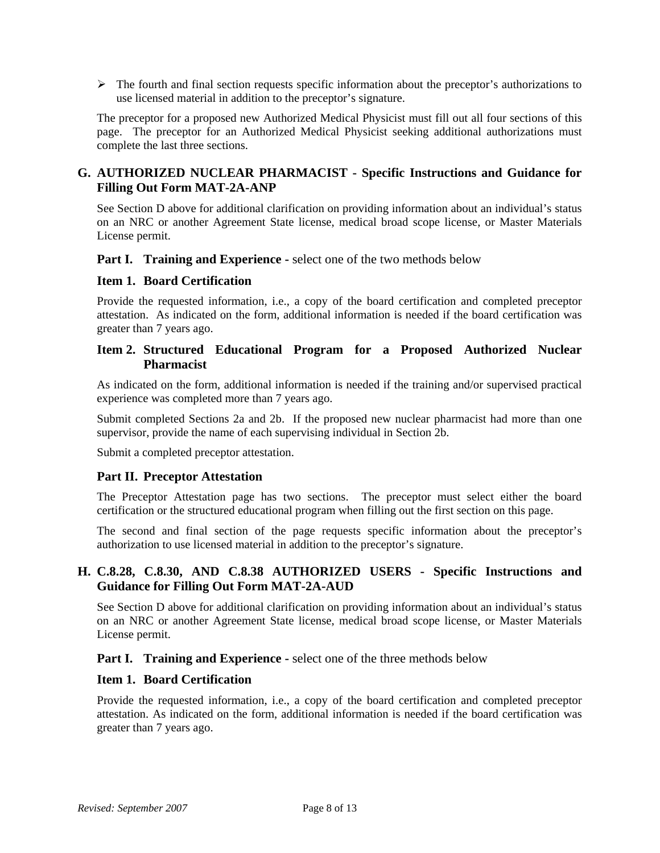$\triangleright$  The fourth and final section requests specific information about the preceptor's authorizations to use licensed material in addition to the preceptor's signature.

The preceptor for a proposed new Authorized Medical Physicist must fill out all four sections of this page. The preceptor for an Authorized Medical Physicist seeking additional authorizations must complete the last three sections.

## **G. AUTHORIZED NUCLEAR PHARMACIST - Specific Instructions and Guidance for Filling Out Form MAT-2A-ANP**

See Section D above for additional clarification on providing information about an individual's status on an NRC or another Agreement State license, medical broad scope license, or Master Materials License permit.

**Part I. Training and Experience -** select one of the two methods below

#### **Item 1. Board Certification**

Provide the requested information, i.e., a copy of the board certification and completed preceptor attestation. As indicated on the form, additional information is needed if the board certification was greater than 7 years ago.

## **Item 2. Structured Educational Program for a Proposed Authorized Nuclear Pharmacist**

As indicated on the form, additional information is needed if the training and/or supervised practical experience was completed more than 7 years ago.

Submit completed Sections 2a and 2b. If the proposed new nuclear pharmacist had more than one supervisor, provide the name of each supervising individual in Section 2b.

Submit a completed preceptor attestation.

#### **Part II. Preceptor Attestation**

The Preceptor Attestation page has two sections. The preceptor must select either the board certification or the structured educational program when filling out the first section on this page.

The second and final section of the page requests specific information about the preceptor's authorization to use licensed material in addition to the preceptor's signature.

## **H. C.8.28, C.8.30, AND C.8.38 AUTHORIZED USERS - Specific Instructions and Guidance for Filling Out Form MAT-2A-AUD**

See Section D above for additional clarification on providing information about an individual's status on an NRC or another Agreement State license, medical broad scope license, or Master Materials License permit.

**Part I. Training and Experience -** select one of the three methods below

#### **Item 1. Board Certification**

Provide the requested information, i.e., a copy of the board certification and completed preceptor attestation. As indicated on the form, additional information is needed if the board certification was greater than 7 years ago.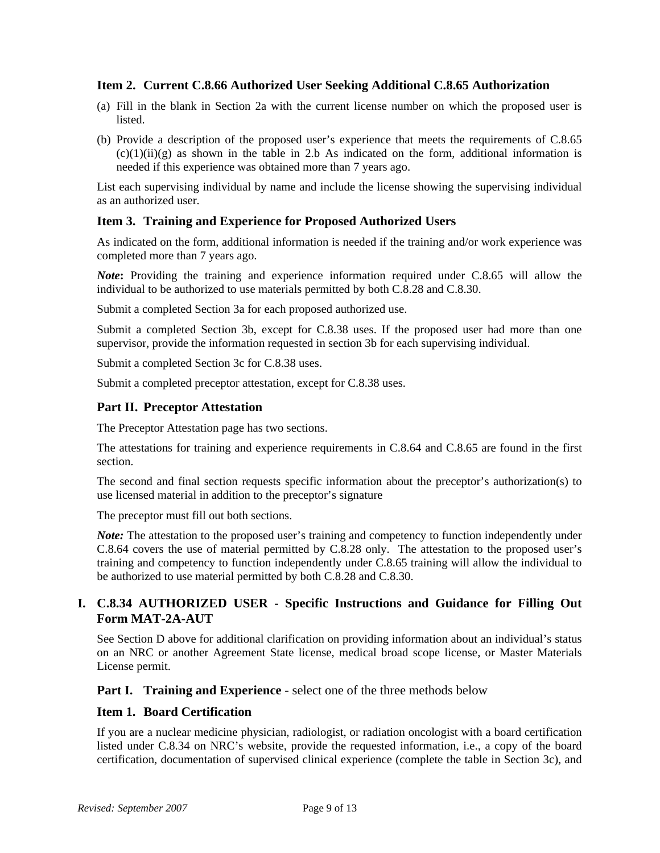#### **Item 2. Current C.8.66 Authorized User Seeking Additional C.8.65 Authorization**

- (a) Fill in the blank in Section 2a with the current license number on which the proposed user is listed.
- (b) Provide a description of the proposed user's experience that meets the requirements of C.8.65  $(c)(1)(ii)(g)$  as shown in the table in 2.b As indicated on the form, additional information is needed if this experience was obtained more than 7 years ago.

List each supervising individual by name and include the license showing the supervising individual as an authorized user.

#### **Item 3. Training and Experience for Proposed Authorized Users**

As indicated on the form, additional information is needed if the training and/or work experience was completed more than 7 years ago.

*Note***:** Providing the training and experience information required under C.8.65 will allow the individual to be authorized to use materials permitted by both C.8.28 and C.8.30.

Submit a completed Section 3a for each proposed authorized use.

Submit a completed Section 3b, except for C.8.38 uses. If the proposed user had more than one supervisor, provide the information requested in section 3b for each supervising individual.

Submit a completed Section 3c for C.8.38 uses.

Submit a completed preceptor attestation, except for C.8.38 uses.

#### **Part II. Preceptor Attestation**

The Preceptor Attestation page has two sections.

The attestations for training and experience requirements in C.8.64 and C.8.65 are found in the first section.

The second and final section requests specific information about the preceptor's authorization(s) to use licensed material in addition to the preceptor's signature

The preceptor must fill out both sections.

*Note:* The attestation to the proposed user's training and competency to function independently under C.8.64 covers the use of material permitted by C.8.28 only. The attestation to the proposed user's training and competency to function independently under C.8.65 training will allow the individual to be authorized to use material permitted by both C.8.28 and C.8.30.

## **I. C.8.34 AUTHORIZED USER - Specific Instructions and Guidance for Filling Out Form MAT-2A-AUT**

See Section D above for additional clarification on providing information about an individual's status on an NRC or another Agreement State license, medical broad scope license, or Master Materials License permit.

**Part I. Training and Experience** - select one of the three methods below

#### **Item 1. Board Certification**

If you are a nuclear medicine physician, radiologist, or radiation oncologist with a board certification listed under C.8.34 on NRC's website, provide the requested information, i.e., a copy of the board certification, documentation of supervised clinical experience (complete the table in Section 3c), and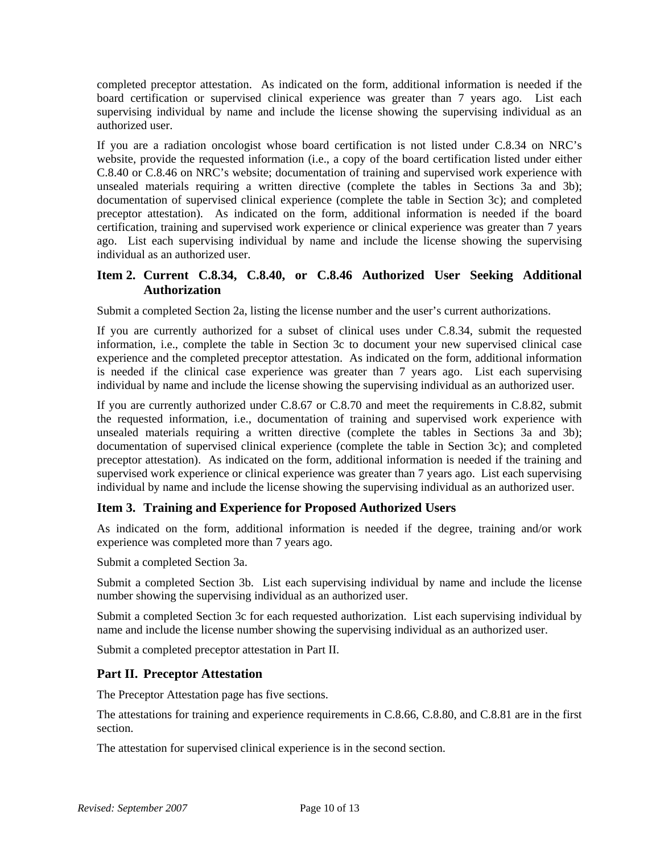completed preceptor attestation. As indicated on the form, additional information is needed if the board certification or supervised clinical experience was greater than 7 years ago. List each supervising individual by name and include the license showing the supervising individual as an authorized user.

If you are a radiation oncologist whose board certification is not listed under C.8.34 on NRC's website, provide the requested information (i.e., a copy of the board certification listed under either C.8.40 or C.8.46 on NRC's website; documentation of training and supervised work experience with unsealed materials requiring a written directive (complete the tables in Sections 3a and 3b); documentation of supervised clinical experience (complete the table in Section 3c); and completed preceptor attestation). As indicated on the form, additional information is needed if the board certification, training and supervised work experience or clinical experience was greater than 7 years ago. List each supervising individual by name and include the license showing the supervising individual as an authorized user.

## **Item 2. Current C.8.34, C.8.40, or C.8.46 Authorized User Seeking Additional Authorization**

Submit a completed Section 2a, listing the license number and the user's current authorizations.

If you are currently authorized for a subset of clinical uses under C.8.34, submit the requested information, i.e., complete the table in Section 3c to document your new supervised clinical case experience and the completed preceptor attestation. As indicated on the form, additional information is needed if the clinical case experience was greater than 7 years ago. List each supervising individual by name and include the license showing the supervising individual as an authorized user.

If you are currently authorized under C.8.67 or C.8.70 and meet the requirements in C.8.82, submit the requested information, i.e., documentation of training and supervised work experience with unsealed materials requiring a written directive (complete the tables in Sections 3a and 3b); documentation of supervised clinical experience (complete the table in Section 3c); and completed preceptor attestation). As indicated on the form, additional information is needed if the training and supervised work experience or clinical experience was greater than 7 years ago. List each supervising individual by name and include the license showing the supervising individual as an authorized user.

## **Item 3. Training and Experience for Proposed Authorized Users**

As indicated on the form, additional information is needed if the degree, training and/or work experience was completed more than 7 years ago.

Submit a completed Section 3a.

Submit a completed Section 3b. List each supervising individual by name and include the license number showing the supervising individual as an authorized user.

Submit a completed Section 3c for each requested authorization. List each supervising individual by name and include the license number showing the supervising individual as an authorized user.

Submit a completed preceptor attestation in Part II.

## **Part II. Preceptor Attestation**

The Preceptor Attestation page has five sections.

The attestations for training and experience requirements in C.8.66, C.8.80, and C.8.81 are in the first section.

The attestation for supervised clinical experience is in the second section.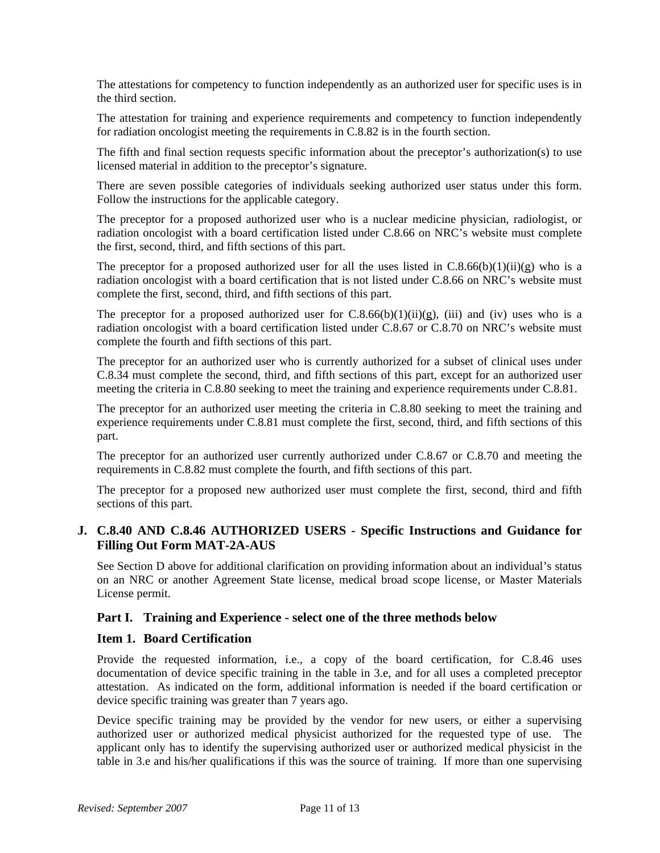The attestations for competency to function independently as an authorized user for specific uses is in the third section.

The attestation for training and experience requirements and competency to function independently for radiation oncologist meeting the requirements in C.8.82 is in the fourth section.

The fifth and final section requests specific information about the preceptor's authorization(s) to use licensed material in addition to the preceptor's signature.

There are seven possible categories of individuals seeking authorized user status under this form. Follow the instructions for the applicable category.

The preceptor for a proposed authorized user who is a nuclear medicine physician, radiologist, or radiation oncologist with a board certification listed under C.8.66 on NRC's website must complete the first, second, third, and fifth sections of this part.

The preceptor for a proposed authorized user for all the uses listed in  $C.8.66(b)(1)(ii)(g)$  who is a radiation oncologist with a board certification that is not listed under C.8.66 on NRC's website must complete the first, second, third, and fifth sections of this part.

The preceptor for a proposed authorized user for  $C.8.66(b)(1)(ii)(g)$ , (iii) and (iv) uses who is a radiation oncologist with a board certification listed under C.8.67 or C.8.70 on NRC's website must complete the fourth and fifth sections of this part.

The preceptor for an authorized user who is currently authorized for a subset of clinical uses under C.8.34 must complete the second, third, and fifth sections of this part, except for an authorized user meeting the criteria in C.8.80 seeking to meet the training and experience requirements under C.8.81.

The preceptor for an authorized user meeting the criteria in C.8.80 seeking to meet the training and experience requirements under C.8.81 must complete the first, second, third, and fifth sections of this part.

The preceptor for an authorized user currently authorized under C.8.67 or C.8.70 and meeting the requirements in C.8.82 must complete the fourth, and fifth sections of this part.

The preceptor for a proposed new authorized user must complete the first, second, third and fifth sections of this part.

## **J. C.8.40 AND C.8.46 AUTHORIZED USERS - Specific Instructions and Guidance for Filling Out Form MAT-2A-AUS**

See Section D above for additional clarification on providing information about an individual's status on an NRC or another Agreement State license, medical broad scope license, or Master Materials License permit.

#### **Part I. Training and Experience - select one of the three methods below**

#### **Item 1. Board Certification**

Provide the requested information, i.e., a copy of the board certification, for C.8.46 uses documentation of device specific training in the table in 3.e, and for all uses a completed preceptor attestation. As indicated on the form, additional information is needed if the board certification or device specific training was greater than 7 years ago.

Device specific training may be provided by the vendor for new users, or either a supervising authorized user or authorized medical physicist authorized for the requested type of use. The applicant only has to identify the supervising authorized user or authorized medical physicist in the table in 3.e and his/her qualifications if this was the source of training. If more than one supervising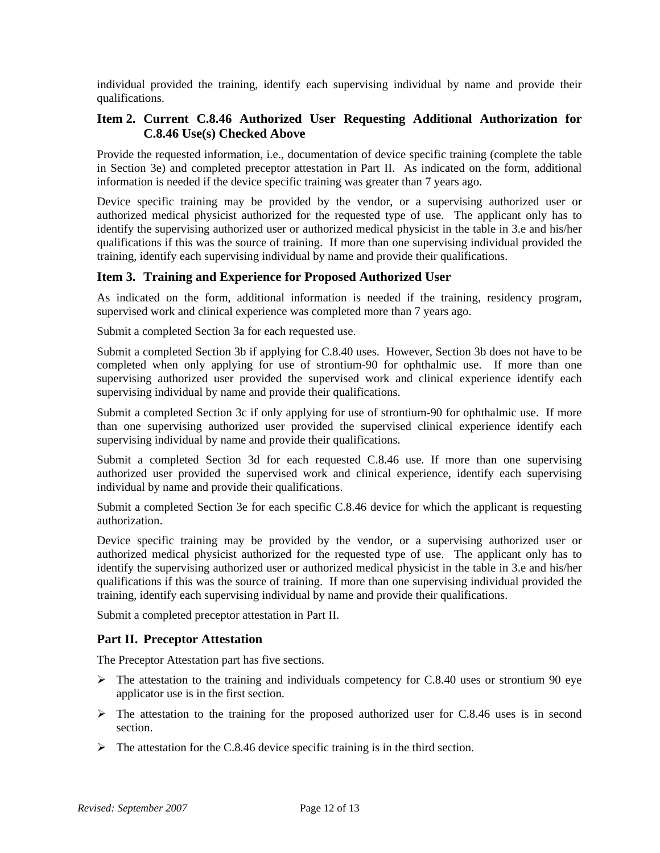individual provided the training, identify each supervising individual by name and provide their qualifications.

#### **Item 2. Current C.8.46 Authorized User Requesting Additional Authorization for C.8.46 Use(s) Checked Above**

Provide the requested information, i.e., documentation of device specific training (complete the table in Section 3e) and completed preceptor attestation in Part II. As indicated on the form, additional information is needed if the device specific training was greater than 7 years ago.

Device specific training may be provided by the vendor, or a supervising authorized user or authorized medical physicist authorized for the requested type of use. The applicant only has to identify the supervising authorized user or authorized medical physicist in the table in 3.e and his/her qualifications if this was the source of training. If more than one supervising individual provided the training, identify each supervising individual by name and provide their qualifications.

#### **Item 3. Training and Experience for Proposed Authorized User**

As indicated on the form, additional information is needed if the training, residency program, supervised work and clinical experience was completed more than 7 years ago.

Submit a completed Section 3a for each requested use.

Submit a completed Section 3b if applying for C.8.40 uses. However, Section 3b does not have to be completed when only applying for use of strontium-90 for ophthalmic use. If more than one supervising authorized user provided the supervised work and clinical experience identify each supervising individual by name and provide their qualifications.

Submit a completed Section 3c if only applying for use of strontium-90 for ophthalmic use. If more than one supervising authorized user provided the supervised clinical experience identify each supervising individual by name and provide their qualifications.

Submit a completed Section 3d for each requested C.8.46 use. If more than one supervising authorized user provided the supervised work and clinical experience, identify each supervising individual by name and provide their qualifications.

Submit a completed Section 3e for each specific C.8.46 device for which the applicant is requesting authorization.

Device specific training may be provided by the vendor, or a supervising authorized user or authorized medical physicist authorized for the requested type of use. The applicant only has to identify the supervising authorized user or authorized medical physicist in the table in 3.e and his/her qualifications if this was the source of training. If more than one supervising individual provided the training, identify each supervising individual by name and provide their qualifications.

Submit a completed preceptor attestation in Part II.

#### **Part II. Preceptor Attestation**

The Preceptor Attestation part has five sections.

- $\triangleright$  The attestation to the training and individuals competency for C.8.40 uses or strontium 90 eye applicator use is in the first section.
- $\triangleright$  The attestation to the training for the proposed authorized user for C.8.46 uses is in second section.
- $\triangleright$  The attestation for the C.8.46 device specific training is in the third section.